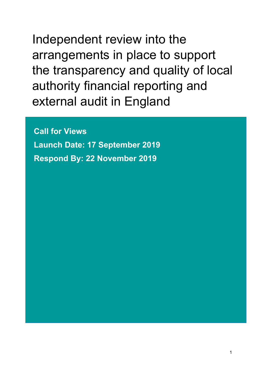Independent review into the arrangements in place to support the transparency and quality of local authority financial reporting and external audit in England

**Call for Views Launch Date: 17 September 2019 Respond By: 22 November 2019**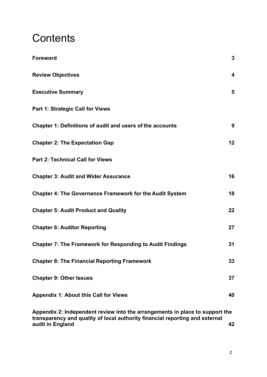# **Contents**

| <b>Foreword</b>                                                                                                                                              | $\mathbf{3}$            |
|--------------------------------------------------------------------------------------------------------------------------------------------------------------|-------------------------|
| <b>Review Objectives</b>                                                                                                                                     | $\overline{\mathbf{4}}$ |
| <b>Executive Summary</b>                                                                                                                                     | 5                       |
| <b>Part 1: Strategic Call for Views</b>                                                                                                                      |                         |
| Chapter 1: Definitions of audit and users of the accounts                                                                                                    | 9                       |
| <b>Chapter 2: The Expectation Gap</b>                                                                                                                        | 12                      |
| <b>Part 2: Technical Call for Views</b>                                                                                                                      |                         |
| <b>Chapter 3: Audit and Wider Assurance</b>                                                                                                                  | 16                      |
| <b>Chapter 4: The Governance Framework for the Audit System</b>                                                                                              | 18                      |
| <b>Chapter 5: Audit Product and Quality</b>                                                                                                                  | 22                      |
| <b>Chapter 6: Auditor Reporting</b>                                                                                                                          | 27                      |
| <b>Chapter 7: The Framework for Responding to Audit Findings</b>                                                                                             | 31                      |
| <b>Chapter 8: The Financial Reporting Framework</b>                                                                                                          | 33                      |
| <b>Chapter 9: Other Issues</b>                                                                                                                               | 37                      |
| <b>Appendix 1: About this Call for Views</b>                                                                                                                 | 40                      |
| Appendix 2: Independent review into the arrangements in place to support the<br>transparency and quality of local authority financial reporting and external |                         |

**audit in [England](#page-42-0) 42**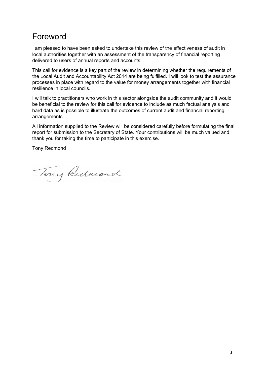## <span id="page-2-0"></span>Foreword

I am pleased to have been asked to undertake this review of the effectiveness of audit in local authorities together with an assessment of the transparency of financial reporting delivered to users of annual reports and accounts.

This call for evidence is a key part of the review in determining whether the requirements of the Local Audit and Accountability Act 2014 are being fulfilled. I will look to test the assurance processes in place with regard to the value for money arrangements together with financial resilience in local councils.

I will talk to practitioners who work in this sector alongside the audit community and it would be beneficial to the review for this call for evidence to include as much factual analysis and hard data as is possible to illustrate the outcomes of current audit and financial reporting arrangements.

All information supplied to the Review will be considered carefully before formulating the final report for submission to the Secretary of State. Your contributions will be much valued and thank you for taking the time to participate in this exercise.

Tony Redmond

Tony Redwood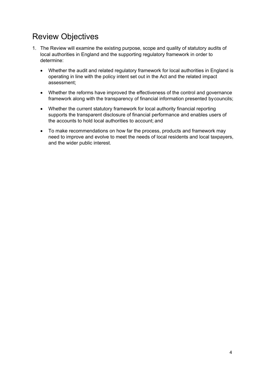# <span id="page-3-0"></span>Review Objectives

- 1. The Review will examine the existing purpose, scope and quality of statutory audits of local authorities in England and the supporting regulatory framework in order to determine:
	- Whether the audit and related regulatory framework for local authorities in England is operating in line with the policy intent set out in the Act and the related impact assessment;
	- Whether the reforms have improved the effectiveness of the control and governance framework along with the transparency of financial information presented bycouncils;
	- Whether the current statutory framework for local authority financial reporting supports the transparent disclosure of financial performance and enables users of the accounts to hold local authorities to account; and
	- To make recommendations on how far the process, products and framework may need to improve and evolve to meet the needs of local residents and local taxpayers, and the wider public interest.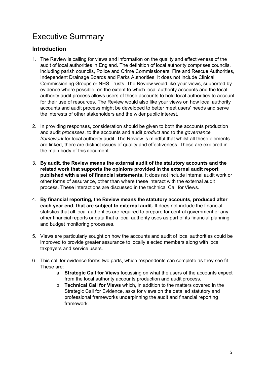# <span id="page-4-0"></span>Executive Summary

### **Introduction**

- 1. The Review is calling for views and information on the quality and effectiveness of the audit of local authorities in England. The definition of local authority comprises councils, including parish councils, Police and Crime Commissioners, Fire and Rescue Authorities, Independent Drainage Boards and Parks Authorities. It does not include Clinical Commissioning Groups or NHS Trusts. The Review would like your views, supported by evidence where possible, on the extent to which local authority accounts and the local authority audit process allows users of those accounts to hold local authorities to account for their use of resources. The Review would also like your views on how local authority accounts and audit process might be developed to better meet users' needs and serve the interests of other stakeholders and the wider public interest.
- 2. In providing responses, consideration should be given to both the accounts production and audit *processes*, to the accounts and audit *product* and to the *governance framework* for local authority audit. The Review is mindful that whilst all these elements are linked, there are distinct issues of quality and effectiveness. These are explored in the main body of this document.
- 3. **By audit, the Review means the external audit of the statutory accounts and the related work that supports the opinions provided in the external audit report published with a set of financial statements.** It does not include internal audit work or other forms of assurance, other than where these interact with the external audit process. These interactions are discussed in the technical Call for Views.
- 4. **By financial reporting, the Review means the statutory accounts, produced after each year end, that are subject to external audit.** It does not include the financial statistics that all local authorities are required to prepare for central government or any other financial reports or data that a local authority uses as part of its financial planning and budget monitoring processes.
- 5. Views are particularly sought on how the accounts and audit of local authorities could be improved to provide greater assurance to locally elected members along with local taxpayers and service users.
- 6. This call for evidence forms two parts, which respondents can complete as they see fit. These are:
	- a. **Strategic Call for Views** focussing on what the users of the accounts expect from the local authority accounts production and audit process.
	- b. **Technical Call for Views** which, in addition to the matters covered in the Strategic Call for Evidence, asks for views on the detailed statutory and professional frameworks underpinning the audit and financial reporting framework.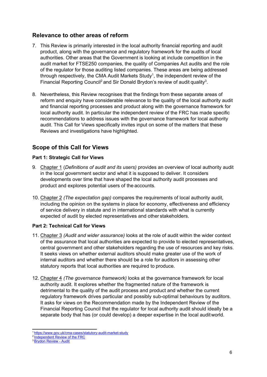#### **Relevance to other areas of reform**

- 7. This Review is primarily interested in the local authority financial reporting and audit product, along with the governance and regulatory framework for the audits of local authorities. Other areas that the Government is looking at include competition in the audit market for FTSE250 companies, the quality of Companies Act audits and the role of the regulator for those auditing listed companies. These areas are being addressed through respectively, the CMA Audit Markets Study<sup>[1](#page-5-0)</sup>, the independent review of the Financial Reporting Council<sup>[2](#page-5-1)</sup> and Sir Donald Brydon's review of audit quality<sup>[3](#page-5-2)</sup>.
- 8. Nevertheless, this Review recognises that the findings from these separate areas of reform and enquiry have considerable relevance to the quality of the local authority audit and financial reporting processes and product along with the governance framework for local authority audit. In particular the independent review of the FRC has made specific recommendations to address issues with the governance framework for local authority audit. This Call for Views specifically invites input on some of the matters that these Reviews and investigations have highlighted.

### **Scope of this Call for Views**

#### **Part 1: Strategic Call for Views**

- 9. Chapter 1 (*Definitions of audit and its users)* provides an overview of local authority audit in the local government sector and what it is supposed to deliver. It considers developments over time that have shaped the local authority audit processes and product and explores potential users of the accounts.
- 10. Chapter 2 *(The expectation gap)* compares the requirements of local authority audit, including the opinion on the systems in place for economy, effectiveness and efficiency of service delivery in statute and in international standards with what is currently expected of audit by elected representatives and other stakeholders.

#### **Part 2: Technical Call for Views**

- 11. Chapter 3 *(Audit and wider assurance)* looks at the role of audit within the wider context of the assurance that local authorities are expected to provide to elected representatives, central government and other stakeholders regarding the use of resources and key risks. It seeks views on whether external auditors should make greater use of the work of internal auditors and whether there should be a role for auditors in assessing other statutory reports that local authorities are required to produce.
- 12. Chapter 4 *(The governance framework)* looks at the governance framework for local authority audit. It explores whether the fragmented nature of the framework is detrimental to the quality of the audit process and product and whether the current regulatory framework drives particular and possibly sub-optimal behaviours by auditors. It asks for views on the Recommendation made by the Independent Review of the Financial Reporting Council that the regulator for local authority audit should ideally be a separate body that has (or could develop) a deeper expertise in the local auditworld.

<span id="page-5-0"></span><sup>1</sup> <https://www.gov.uk/cma-cases/statutory-audit-market-study>

<span id="page-5-1"></span><sup>&</sup>lt;sup>2</sup> [Independent](https://www.gov.uk/government/news/independent-review-of-the-financial-reporting-council-frc-launches-report) Review of the FRC

<span id="page-5-2"></span><sup>&</sup>lt;sup>3</sup> Brydon [Review](https://www.gov.uk/government/publications/the-quality-and-effectiveness-of-audit-independent-review) - Audit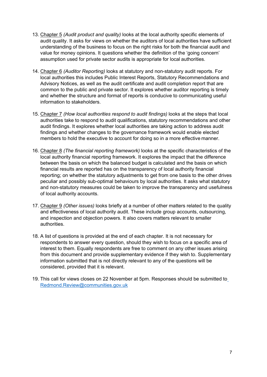- 13. Chapter 5 *(Audit product and quality)* looks at the local authority specific elements of audit quality. It asks for views on whether the auditors of local authorities have sufficient understanding of the business to focus on the right risks for both the financial audit and value for money opinions. It questions whether the definition of the 'going concern' assumption used for private sector audits is appropriate for local authorities.
- 14. Chapter 6 *(Auditor Reporting)* looks at statutory and non-statutory audit reports. For local authorities this includes Public Interest Reports, Statutory Recommendations and Advisory Notices, as well as the audit certificate and audit completion report that are common to the public and private sector. It explores whether auditor reporting is timely and whether the structure and format of reports is conducive to communicating useful information to stakeholders.
- 15. Chapter 7 *(How local authorities respond to audit findings)* looks at the steps that local authorities take to respond to audit qualifications, statutory recommendations and other audit findings. It explores whether local authorities are taking action to address audit findings and whether changes to the governance framework would enable elected members to hold the executive to account for doing so in a more effective manner.
- 16. Chapter 8 *(The financial reporting framework)* looks at the specific characteristics of the local authority financial reporting framework. It explores the impact that the difference between the basis on which the balanced budget is calculated and the basis on which financial results are reported has on the transparency of local authority financial reporting; on whether the statutory adjustments to get from one basis to the other drives peculiar and possibly sub-optimal behaviours by local authorities. It asks what statutory and non-statutory measures could be taken to improve the transparency and usefulness of local authority accounts.
- 17. Chapter 9 *(Other issues)* looks briefly at a number of other matters related to the quality and effectiveness of local authority audit. These include group accounts, outsourcing, and inspection and objection powers. It also covers matters relevant to smaller authorities.
- 18. A list of questions is provided at the end of each chapter. It is not necessary for respondents to answer every question, should they wish to focus on a specific area of interest to them. Equally respondents are free to comment on any other issues arising from this document and provide supplementary evidence if they wish to. Supplementary information submitted that is not directly relevant to any of the questions will be considered, provided that it is relevant.
- 19. This call for views closes on 22 November at 5pm. Responses should be submitted to [Redmond.Review@communities.gov.uk](mailto:Redmond.Review@communities.gov.uk)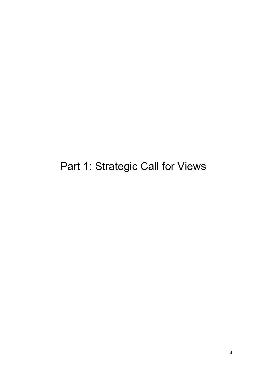<span id="page-7-0"></span>Part 1: Strategic Call for Views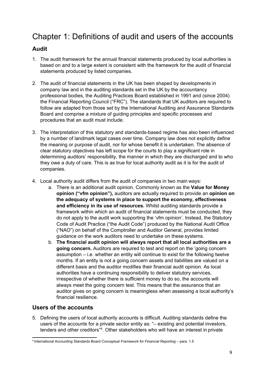## <span id="page-8-0"></span>Chapter 1: Definitions of audit and users of the accounts

### **Audit**

- 1. The audit framework for the annual financial statements produced by local authorities is based on and to a large extent is consistent with the framework for the audit of financial statements produced by listed companies.
- 2. The audit of financial statements in the UK has been shaped by developments in company law and in the auditing standards set in the UK by the accountancy professional bodies, the Auditing Practices Board established in 1991 and (since 2004) the Financial Reporting Council ("FRC"). The standards that UK auditors are required to follow are adapted from those set by the International Auditing and Assurance Standards Board and comprise a mixture of guiding principles and specific processes and procedures that an audit must include.
- 3. The interpretation of this statutory and standards-based regime has also been influenced by a number of landmark legal cases over time. Company law does not explicitly define the meaning or purpose of audit, nor for whose benefit it is undertaken. The absence of clear statutory objectives has left scope for the courts to play a significant role in determining auditors' responsibility, the manner in which they are discharged and to who they owe a duty of care. This is as true for local authority audit as it is for the audit of companies.
- 4. Local authority audit differs from the audit of companies in two main ways:
	- a. There is an additional audit opinion. Commonly known as the **Value for Money opinion ("vfm opinion"),** auditors are actually required to provide an **opinion on the adequacy of systems in place to support the economy, effectiveness and efficiency in its use of resources.** Whilst auditing standards provide a framework within which an audit of financial statements must be conducted, they do not apply to the audit work supporting the 'vfm opinion'. Instead, the Statutory Code of Audit Practice ("the Audit Code") produced by the National Audit Office ("NAO") on behalf of the Comptroller and Auditor General, provides limited guidance on the work auditors need to undertake on these systems.
	- b. **The financial audit opinion will always report that all local authorities are a going concern.** Auditors are required to test and report on the 'going concern assumption – i.e. whether an entity will continue to exist for the following twelve months. If an entity is not a going concern assets and liabilities are valued on a different basis and the auditor modifies their financial audit opinion. As local authorities have a continuing responsibility to deliver statutory services, irrespective of whether there is sufficient money to do so, the accounts will always meet the going concern test. This means that the assurance that an auditor gives on going concern is meaningless when assessing a local authority's financial resilience.

#### **Users of the accounts**

5. Defining the users of local authority accounts is difficult. Auditing standards define the users of the accounts for a private sector entity as: "– existing and potential investors, lenders and other creditors"<sup>[4](#page-8-1)</sup>. Other stakeholders who will have an interest in private

<span id="page-8-1"></span><sup>4</sup> International Accounting Standards Board *Conceptual Framework for Financial Reporting* – para. 1.5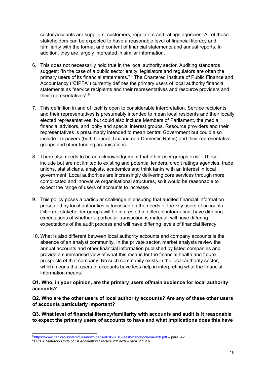sector accounts are suppliers, customers, regulators and ratings agencies. All of these stakeholders can be expected to have a reasonable level of financial literacy and familiarity with the format and content of financial statements and annual reports. In addition, they are largely interested in similar information.

- 6. This does not necessarily hold true in the local authority sector. Auditing standards suggest: "In the case of a public sector entity, legislators and regulators are often the primary users of its financial statements." [5](#page-9-0) The Chartered Institute of Public Finance and Accountancy ("CIPFA") currently defines the primary users of local authority financial statements as "service recipients and their representatives and resource providers and their representatives".[6](#page-9-1)
- 7. This definition in and of itself is open to considerable interpretation. Service recipients and their representatives is presumably intended to mean local residents and their locally elected representatives, but could also include Members of Parliament, the media, financial advisors, and lobby and special interest groups. Resource providers and their representatives is presumably intended to mean central Government but could also include tax payers (both Council Tax and non-Domestic Rates) and their representative groups and other funding organisations.
- 8. There also needs to be an acknowledgement that other user groups exist. These include but are not limited to existing and potential lenders, credit ratings agencies, trade unions, statisticians, analysts, academics and think tanks with an interest in local government. Local authorities are increasingly delivering core services through more complicated and innovative organisational structures, so it would be reasonable to expect the range of users of accounts to increase.
- 9. This policy poses a particular challenge in ensuring that audited financial information presented by local authorities is focussed on the needs of the key users of accounts. Different stakeholder groups will be interested in different information, have differing expectations of whether a particular transaction is material, will have differing expectations of the audit process and will have differing levels of financial literacy.
- 10. What is also different between local authority accounts and company accounts is the absence of an analyst community. In the private sector, market analysts review the annual accounts and other financial information published by listed companies and provide a summarised view of what this means for the financial health and future prospects of that company. No such community exists in the local authority sector, which means that users of accounts have less help in interpreting what the financial information means.

#### **Q1. Who, in your opinion, are the primary users of/main audience for local authority accounts?**

**Q2. Who are the other users of local authority accounts? Are any of these other users of accounts particularly important?**

**Q3. What level of financial literacy/familiarity with accounts and audit is it reasonable to expect the primary users of accounts to have and what implications does this have**

<span id="page-9-0"></span><sup>5</sup> <https://www.ifac.org/system/files/downloads/a018-2010-iaasb-handbook-isa-320.pdf> – para. A2

<span id="page-9-1"></span><sup>6</sup> CIPFA *Statutory Code of LA Accounting Practice 2019-20* – para. 2.1.2.6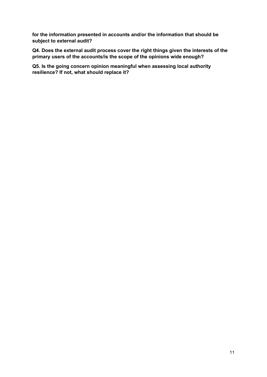**for the information presented in accounts and/or the information that should be subject to external audit?**

**Q4. Does the external audit process cover the right things given the interests of the primary users of the accounts/is the scope of the opinions wide enough?**

**Q5. Is the going concern opinion meaningful when assessing local authority resilience? If not, what should replace it?**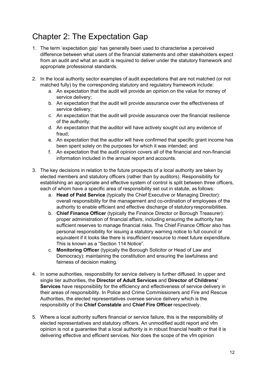# <span id="page-11-0"></span>Chapter 2: The Expectation Gap

- 1. The term 'expectation gap' has generally been used to characterise a perceived difference between what users of the financial statements and other stakeholders expect from an audit and what an audit is required to deliver under the statutory framework and appropriate professional standards.
- 2. In the local authority sector examples of audit expectations that are not matched (or not matched fully) by the corresponding statutory and regulatory framework include:
	- a. An expectation that the audit will provide an opinion on the value for money of service delivery;
	- b. An expectation that the audit will provide assurance over the effectiveness of service delivery;
	- c. An expectation that the audit will provide assurance over the financial resilience of the authority;
	- d. An expectation that the auditor will have actively sought out any evidence of fraud;
	- e. An expectation that the auditor will have confirmed that specific grant income has been spent solely on the purposes for which it was intended; and
	- f. An expectation that the audit opinion covers all of the financial and non-financial information included in the annual report and accounts.
- 3. The key decisions in relation to the future prospects of a local authority are taken by elected members and statutory officers (rather than by auditors). Responsibility for establishing an appropriate and effective system of control is split between three officers, each of whom have a specific area of responsibility set out in statute, as follows:
	- a. **Head of Paid Service** (typically the Chief Executive or Managing Director): overall responsibility for the management and co-ordination of employees of the authority to enable efficient and effective discharge of statutoryresponsibilities.
	- b. **Chief Finance Officer** (typically the Finance Director or Borough Treasurer): proper administration of financial affairs, including ensuring the authority has sufficient reserves to manage financial risks. The Chief Finance Officer also has personal responsibility for issuing a statutory warning notice to full council or equivalent if it looks like there is insufficient resource to meet future expenditure. This is known as a "Section 114 Notice".
	- c. **Monitoring Officer** (typically the Borough Solicitor or Head of Law and Democracy): maintaining the constitution and ensuring the lawfulness and fairness of decision making.
- 4. In some authorities, responsibility for service delivery is further diffused. In upper and single tier authorities, the **Director of Adult Services** and **Director of Childrens' Services** have responsibility for the efficiency and effectiveness of service delivery in their areas of responsibility. In Police and Crime Commissioners and Fire and Rescue Authorities, the elected representatives oversee service delivery which is the responsibility of the **Chief Constable** and **Chief Fire Officer** respectively.
- 5. Where a local authority suffers financial or service failure, this is the responsibility of elected representatives and statutory officers. An unmodified audit report and vfm opinion is not a guarantee that a local authority is in robust financial health or that it is delivering effective and efficient services. Nor does the scope of the vfm opinion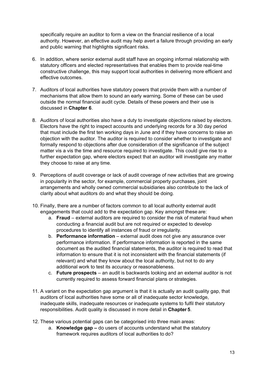specifically require an auditor to form a view on the financial resilience of a local authority. However, an effective audit may help avert a failure through providing an early and public warning that highlights significant risks.

- 6. In addition, where senior external audit staff have an ongoing informal relationship with statutory officers and elected representatives that enables them to provide real-time constructive challenge, this may support local authorities in delivering more efficient and effective outcomes.
- 7. Auditors of local authorities have statutory powers that provide them with a number of mechanisms that allow them to sound an early warning. Some of these can be used outside the normal financial audit cycle. Details of these powers and their use is discussed in **Chapter 6**.
- 8. Auditors of local authorities also have a duty to investigate objections raised by electors. Electors have the right to inspect accounts and underlying records for a 30 day period that must include the first ten working days in June and if they have concerns to raise an objection with the auditor. The auditor is required to consider whether to investigate and formally respond to objections after due consideration of the significance of the subject matter vis a vis the time and resource required to investigate. This could give rise to a further expectation gap, where electors expect that an auditor will investigate any matter they choose to raise at any time.
- 9. Perceptions of audit coverage or lack of audit coverage of new activities that are growing in popularity in the sector, for example, commercial property purchases, joint arrangements and wholly owned commercial subsidiaries also contribute to the lack of clarity about what auditors do and what they should be doing.
- 10. Finally, there are a number of factors common to all local authority external audit engagements that could add to the expectation gap. Key amongst these are:
	- a. **Fraud** external auditors are required to consider the risk of material fraud when conducting a financial audit but are not required or expected to develop procedures to identify all instances of fraud or irregularity.
	- b. **Performance information** external audit does not give any assurance over performance information. If performance information is reported in the same document as the audited financial statements, the auditor is required to read that information to ensure that it is not inconsistent with the financial statements (if relevant) and what they know about the local authority, but not to do any additional work to test its accuracy or reasonableness.
	- c. **Future prospects** an audit is backwards looking and an external auditor is not currently required to assess forward financial plans or strategies.
- 11. A variant on the expectation gap argument is that it is actually an audit quality gap, that auditors of local authorities have some or all of inadequate sector knowledge, inadequate skills, inadequate resources or inadequate systems to fulfil their statutory responsibilities. Audit quality is discussed in more detail in **Chapter 5**.
- 12. These various potential gaps can be categorised into three main areas:
	- a. **Knowledge gap –** do users of accounts understand what the statutory framework requires auditors of local authorities to do?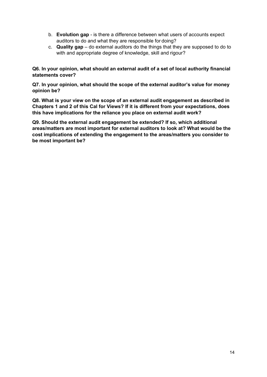- b. **Evolution gap** is there a difference between what users of accounts expect auditors to do and what they are responsible for doing?
- c. **Quality gap** do external auditors do the things that they are supposed to do to with and appropriate degree of knowledge, skill and rigour?

**Q6. In your opinion, what should an external audit of a set of local authority financial statements cover?**

**Q7. In your opinion, what should the scope of the external auditor's value for money opinion be?**

**Q8. What is your view on the scope of an external audit engagement as described in Chapters 1 and 2 of this Cal for Views? If it is different from your expectations, does this have implications for the reliance you place on external audit work?**

**Q9. Should the external audit engagement be extended? If so, which additional areas/matters are most important for external auditors to look at? What would be the cost implications of extending the engagement to the areas/matters you consider to be most important be?**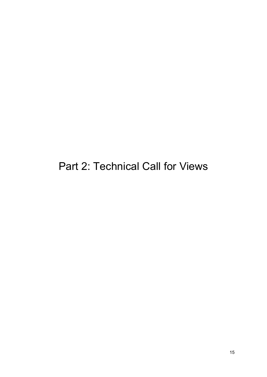<span id="page-14-0"></span>Part 2: Technical Call for Views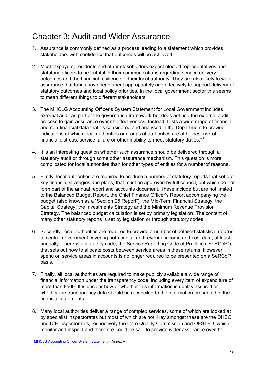## <span id="page-15-0"></span>Chapter 3: Audit and Wider Assurance

- 1. Assurance is commonly defined as a process leading to a statement which provides stakeholders with confidence that outcomes will be achieved.
- 2. Most taxpayers, residents and other stakeholders expect elected representatives and statutory officers to be truthful in their communications regarding service delivery outcomes and the financial resilience of their local authority. They are also likely to want assurance that funds have been spent appropriately and effectively to support delivery of statutory outcomes and local policy priorities. In the local government sector this seems to mean different things to different stakeholders.
- 3. The MHCLG Accounting Officer's System Statement for Local Government includes external audit as part of the governance framework but does not use the external audit process to gain assurance over its effectiveness. Instead it lists a wide range of financial and non-financial data that "is considered and analysed in the Department to provide indications of which local authorities or groups of authorities are at highest risk of financial distress, service failure or other inability to meet statutory duties." [7](#page-15-1)
- 4. It is an interesting question whether such assurance should be delivered through a statutory audit or through some other assurance mechanism. This question is more complicated for local authorities than for other types of entities for a numberof reasons.
- 5. Firstly, local authorities are required to produce a number of statutory reports that set out key financial strategies and plans, that must be approved by full council, but which do not form part of the annual report and accounts document. These include but are not limited to the Balanced Budget Report, the Chief Finance Officer's Report accompanying the budget (also known as a "Section 25 Report"), the Mid-Term Financial Strategy, the Capital Strategy, the Investments Strategy and the Minimum Revenue Provision Strategy. The balanced budget calculation is set by primary legislation. The content of many other statutory reports is set by legislation or through statutory codes.
- 6. Secondly, local authorities are required to provide a number of detailed statistical returns to central government covering both capital and revenue income and cost data, at least annually. There is a statutory code, the Service Reporting Code of Practice ("SeRCoP"), that sets out how to allocate costs between service areas in these returns. However, spend on service areas in accounts is no longer required to be presented on a SeRCoP basis.
- 7. Finally, all local authorities are required to make publicly available a wide range of financial information under the transparency code, including every item of expenditure of more than £500. It is unclear how or whether this information is quality assured or whether the transparency data should be reconciled to the information presented in the financial statements.
- 8. Many local authorities deliver a range of complex services, some of which are looked at by specialist inspectorates but most of which are not. Key amongst these are the DHSC and DfE inspectorates, respectively the Care Quality Commission and OFSTED, which monitor and inspect and therefore could be said to provide wider assurance overthe

<span id="page-15-1"></span><sup>7</sup> MHCLG [Accounting](https://assets.publishing.service.gov.uk/government/uploads/system/uploads/attachment_data/file/728081/Accounting_Officer_System_Statement_2018_-_Final.pdf) Officer System Statement – Annex A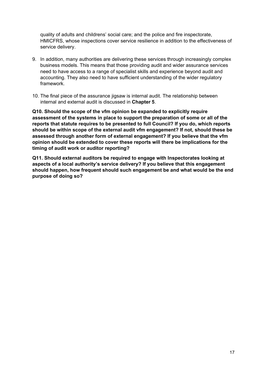quality of adults and childrens' social care; and the police and fire inspectorate, HMICFRS, whose inspections cover service resilience in addition to the effectiveness of service delivery.

- 9. In addition, many authorities are delivering these services through increasingly complex business models. This means that those providing audit and wider assurance services need to have access to a range of specialist skills and experience beyond audit and accounting. They also need to have sufficient understanding of the wider regulatory framework.
- 10. The final piece of the assurance jigsaw is internal audit. The relationship between internal and external audit is discussed in **Chapter 5**.

**Q10. Should the scope of the vfm opinion be expanded to explicitly require assessment of the systems in place to support the preparation of some or all of the reports that statute requires to be presented to full Council? If you do, which reports should be within scope of the external audit vfm engagement? If not, should these be assessed through another form of external engagement? If you believe that the vfm opinion should be extended to cover these reports will there be implications for the timing of audit work or auditor reporting?**

**Q11. Should external auditors be required to engage with Inspectorates looking at aspects of a local authority's service delivery? If you believe that this engagement should happen, how frequent should such engagement be and what would be the end purpose of doing so?**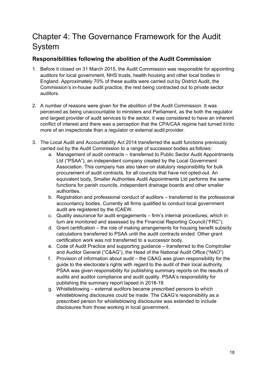# <span id="page-17-0"></span>Chapter 4: The Governance Framework for the Audit System

### **Responsibilities following the abolition of the Audit Commission**

- 1. Before it closed on 31 March 2015, the Audit Commission was responsible for appointing auditors for local government, NHS trusts, health housing and other local bodies in England. Approximately 70% of these audits were carried out by District Audit, the Commission's in-house audit practice, the rest being contracted out to private sector auditors.
- 2. A number of reasons were given for the abolition of the Audit Commission. It was perceived as being unaccountable to ministers and Parliament, as the both the regulator and largest provider of audit services to the sector, it was considered to have an inherent conflict of interest and there was a perception that the CPA/CAA regime had turned itinto more of an inspectorate than a regulator or external audit provider.
- 3. The Local Audit and Accountability Act 2014 transferred the audit functions previously carried out by the Audit Commission to a range of successor bodies as follows:
	- a. Management of audit contracts transferred to Public Sector Audit Appointments Ltd ("PSAA"), an independent company created by the Local Government Association. This company has also taken on statutory responsibility for bulk procurement of audit contracts, for all councils that have not opted-out. An equivalent body, Smaller Authorities Audit Appointments Ltd performs the same functions for parish councils, independent drainage boards and other smaller authorities.
	- b. Registration and professional conduct of auditors transferred to the professional accountancy bodies. Currently all firms qualified to conduct local government audit are registered by the ICAEW.
	- c. Quality assurance for audit engagements firm's internal procedures; which in turn are monitored and assessed by the Financial Reporting Council("FRC").
	- d. Grant certification the role of making arrangements for housing benefit subsidy calculations transferred to PSAA until the audit contracts ended. Other grant certification work was not transferred to a successor body.
	- e. Code of Audit Practice and supporting guidance transferred to the Comptroller and Auditor General ("C&AG"), the Head of the National Audit Office ("NAO")
	- f. Provision of information about audit the C&AG was given responsibility for the guide to the electorate's rights with regard to the audit of their local authority. PSAA was given responsibility for publishing summary reports on the results of audits and auditor compliance and audit quality. PSAA's responsibility for publishing the summary report lapsed in 2018-19.
	- g. Whistleblowing external auditors became prescribed persons to which whistleblowing disclosures could be made. The C&AG's responsibility as a prescribed person for whistleblowing disclosures was extended to include disclosures from those working in local government.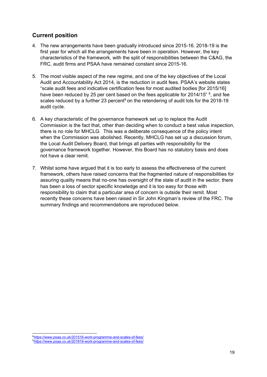### **Current position**

- 4. The new arrangements have been gradually introduced since 2015-16. 2018-19 is the first year for which all the arrangements have been in operation. However, the key characteristics of the framework, with the split of responsibilities between the C&AG, the FRC, audit firms and PSAA have remained constant since 2015-16.
- 5. The most visible aspect of the new regime, and one of the key objectives of the Local Audit and Accountability Act 2014, is the reduction in audit fees. PSAA's website states "scale audit fees and indicative certification fees for most audited bodies [for 2015/16] have been reduced by 25 per cent based on the fees applicable for 2014/15" <sup>[8](#page-18-0)</sup>, and fee scales reduced by a further 23 percent<sup>[9](#page-18-1)</sup> on the retendering of audit lots for the 2018-19 audit cycle.
- 6. A key characteristic of the governance framework set up to replace the Audit Commission is the fact that, other than deciding when to conduct a best value inspection, there is no role for MHCLG. This was a deliberate consequence of the policy intent when the Commission was abolished. Recently, MHCLG has set up a discussion forum, the Local Audit Delivery Board, that brings all parties with responsibility for the governance framework together. However, this Board has no statutory basis and does not have a clear remit.
- 7. Whilst some have argued that it is too early to assess the effectiveness of the current framework, others have raised concerns that the fragmented nature of responsibilities for assuring quality means that no-one has oversight of the state of audit in the sector, there has been a loss of sector specific knowledge and it is too easy for those with responsibility to claim that a particular area of concern is outside their remit. Most recently these concerns have been raised in Sir John Kingman's review of the FRC. The summary findings and recommendations are reproduced below.

<span id="page-18-1"></span><span id="page-18-0"></span><sup>&</sup>lt;sup>8</sup><https://www.psaa.co.uk/201516-work-programme-and-scales-of-fees/> 9<https://www.psaa.co.uk/201819-work-programme-and-scales-of-fees/>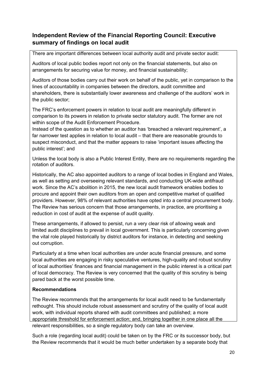### **Independent Review of the Financial Reporting Council: Executive summary of findings on local audit**

There are important differences between local authority audit and private sector audit:

Auditors of local public bodies report not only on the financial statements, but also on arrangements for securing value for money, and financial sustainability;

Auditors of those bodies carry out their work on behalf of the public, yet in comparison to the lines of accountability in companies between the directors, audit committee and shareholders, there is substantially lower awareness and challenge of the auditors' work in the public sector;

The FRC's enforcement powers in relation to local audit are meaningfully different in comparison to its powers in relation to private sector statutory audit. The former are not within scope of the Audit Enforcement Procedure.

Instead of the question as to whether an auditor has 'breached a relevant requirement', a far narrower test applies in relation to local audit – that there are reasonable grounds to suspect misconduct, and that the matter appears to raise 'important issues affecting the public interest'; and

Unless the local body is also a Public Interest Entity, there are no requirements regarding the rotation of auditors.

Historically, the AC also appointed auditors to a range of local bodies in England and Wales, as well as setting and overseeing relevant standards, and conducting UK-wide antifraud work. Since the AC's abolition in 2015, the new local audit framework enables bodies to procure and appoint their own auditors from an open and competitive market of qualified providers. However, 98% of relevant authorities have opted into a central procurement body. The Review has serious concern that those arrangements, in practice, are prioritising a reduction in cost of audit at the expense of audit quality.

These arrangements, if allowed to persist, run a very clear risk of allowing weak and limited audit disciplines to prevail in local government. This is particularly concerning given the vital role played historically by district auditors for instance, in detecting and seeking out corruption.

Particularly at a time when local authorities are under acute financial pressure, and some local authorities are engaging in risky speculative ventures, high-quality and robust scrutiny of local authorities' finances and financial management in the public interest is a critical part of local democracy. The Review is very concerned that the quality of this scrutiny is being pared back at the worst possible time.

#### **Recommendations**

The Review recommends that the arrangements for local audit need to be fundamentally rethought. This should include robust assessment and scrutiny of the quality of local audit work, with individual reports shared with audit committees and published; a more appropriate threshold for enforcement action; and, bringing together in one place all the relevant responsibilities, so a single regulatory body can take an overview.

Such a role (regarding local audit) could be taken on by the FRC or its successor body, but the Review recommends that it would be much better undertaken by a separate body that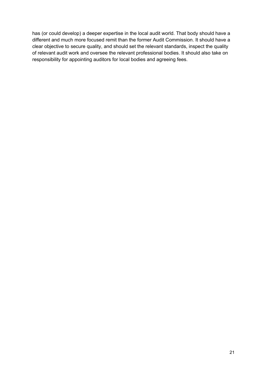has (or could develop) a deeper expertise in the local audit world. That body should have a different and much more focused remit than the former Audit Commission. It should have a clear objective to secure quality, and should set the relevant standards, inspect the quality of relevant audit work and oversee the relevant professional bodies. It should also take on responsibility for appointing auditors for local bodies and agreeing fees.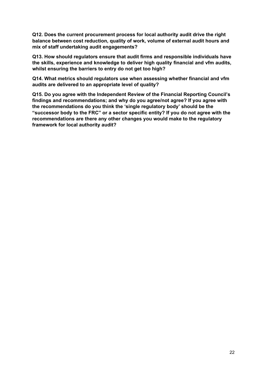**Q12. Does the current procurement process for local authority audit drive the right balance between cost reduction, quality of work, volume of external audit hours and mix of staff undertaking audit engagements?**

**Q13. How should regulators ensure that audit firms and responsible individuals have the skills, experience and knowledge to deliver high quality financial and vfm audits, whilst ensuring the barriers to entry do not get too high?**

**Q14. What metrics should regulators use when assessing whether financial and vfm audits are delivered to an appropriate level of quality?**

**Q15. Do you agree with the Independent Review of the Financial Reporting Council's findings and recommendations; and why do you agree/not agree? If you agree with the recommendations do you think the 'single regulatory body' should be the "successor body to the FRC" or a sector specific entity? If you do not agree with the recommendations are there any other changes you would make to the regulatory framework for local authority audit?**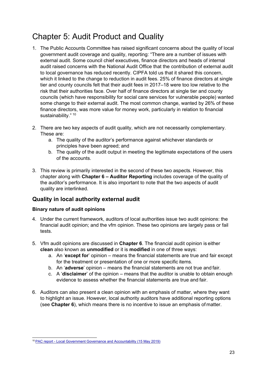# <span id="page-22-0"></span>Chapter 5: Audit Product and Quality

- 1. The Public Accounts Committee has raised significant concerns about the quality of local government audit coverage and quality, reporting: "There are a number of issues with external audit. Some council chief executives, finance directors and heads of internal audit raised concerns with the National Audit Office that the contribution of external audit to local governance has reduced recently. CIPFA told us that it shared this concern, which it linked to the change to reduction in audit fees. 25% of finance directors at single tier and county councils felt that their audit fees in 2017–18 were too low relative to the risk that their authorities face. Over half of finance directors at single tier and county councils (which have responsibility for social care services for vulnerable people) wanted some change to their external audit. The most common change, wanted by 26% of these finance directors, was more value for money work, particularly in relation to financial sustainability." <sup>[10](#page-22-1)</sup>
- 2. There are two key aspects of audit quality, which are not necessarily complementary. These are:
	- a. The quality of the auditor's performance against whichever standards or principles have been agreed; and
	- b. The quality of the audit output in meeting the legitimate expectations of the users of the accounts.
- 3. This review is primarily interested in the second of these two aspects. However, this chapter along with **Chapter 6 – Auditor Reporting** includes coverage of the quality of the auditor's performance. It is also important to note that the two aspects of audit quality are interlinked.

### **Quality in local authority external audit**

#### **Binary nature of audit opinions**

- 4. Under the current framework, auditors of local authorities issue two audit opinions: the financial audit opinion; and the vfm opinion. These two opinions are largely pass or fail tests.
- 5. Vfm audit opinions are discussed in **Chapter 6**. The financial audit opinion is either **clean** also known as **unmodified** or it is **modified** in one of three ways:
	- a. An '**except for**' opinion means the financial statements are true and fair except for the treatment or presentation of one or more specific items.
	- b. An '**adverse**' opinion means the financial statements are not true and fair.
	- c. A '**disclaimer**' of the opinion means that the auditor is unable to obtain enough evidence to assess whether the financial statements are true and fair.
- 6. Auditors can also present a clean opinion with an emphasis of matter, where they want to highlight an issue. However, local authority auditors have additional reporting options (see **Chapter 6**), which means there is no incentive to issue an emphasis of matter.

<span id="page-22-1"></span><sup>10</sup> PAC report - Local Government Governance and [Accountability](https://publications.parliament.uk/pa/cm201719/cmselect/cmpubacc/2077/207707.htm#_idTextAnchor010) (15 May 2019)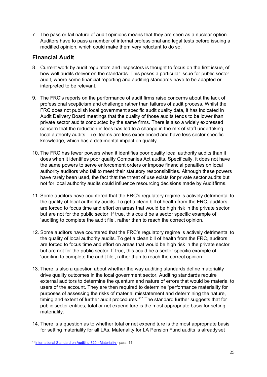<span id="page-23-0"></span>7. The pass or fail nature of audit opinions means that they are seen as a nuclear option. Auditors have to pass a number of internal professional and legal tests before issuing a modified opinion, which could make them very reluctant to do so.

#### **Financial Audit**

- 8. Current work by audit regulators and inspectors is thought to focus on the first issue, of how well audits deliver on the standards. This poses a particular issue for public sector audit, where some financial reporting and auditing standards have to be adapted or interpreted to be relevant.
- 9. The FRC's reports on the performance of audit firms raise concerns about the lack of professional scepticism and challenge rather than failures of audit process. Whilst the FRC does not publish local government specific audit quality data, it has indicated in Audit Delivery Board meetings that the quality of those audits tends to be lower than private sector audits conducted by the same firms. There is also a widely expressed concern that the reduction in fees has led to a change in the mix of staff undertaking local authority audits – i.e. teams are less experienced and have less sector specific knowledge, which has a detrimental impact on quality.
- 10. The FRC has fewer powers when it identifies poor quality local authority audits than it does when it identifies poor quality Companies Act audits. Specifically, it does not have the same powers to serve enforcement orders or impose financial penalties on local authority auditors who fail to meet their statutory responsibilities. Although these powers have rarely been used, the fact that the threat of use exists for private sector audits but not for local authority audits could influence resourcing decisions made by Auditfirms.
- 11. Some auditors have countered that the FRC's regulatory regime is actively detrimental to the quality of local authority audits. To get a clean bill of health from the FRC, auditors are forced to focus time and effort on areas that would be high risk in the private sector but are not for the public sector. If true, this could be a sector specific example of 'auditing to complete the audit file', rather than to reach the correct opinion.
- 12. Some auditors have countered that the FRC's regulatory regime is actively detrimental to the quality of local authority audits. To get a clean bill of health from the FRC, auditors are forced to focus time and effort on areas that would be high risk in the private sector but are not for the public sector. If true, this could be a sector specific example of 'auditing to complete the audit file', rather than to reach the correct opinion.
- 13. There is also a question about whether the way auditing standards define materiality drive quality outcomes in the local government sector. Auditing standards require external auditors to determine the quantum and nature of errors that would be material to users of the account. They are then required to determine "performance materiality for purposes of assessing the risks of material misstatement and determining the nature, timing and extent of further audit procedures."<sup>[11](#page-23-0)</sup> The standard further suggests that for public sector entities, total or net expenditure is the most appropriate basis for setting materiality.
- 14. There is a question as to whether total or net expenditure is the most appropriate basis for setting materiality for all LAs. Materiality for LA Pension Fund audits is already set

<sup>11</sup> [International](https://www.ifac.org/system/files/downloads/a018-2010-iaasb-handbook-isa-320.pdf) Standard on Auditing 320 - Materiality - para. 11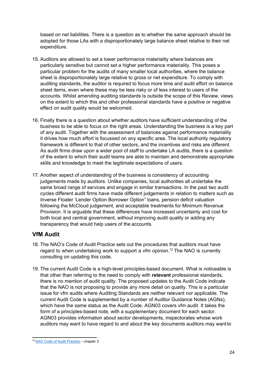based on net liabilities. There is a question as to whether the same approach should be adopted for those LAs with a disproportionately large balance sheet relative to their net expenditure.

- 15. Auditors are allowed to set a lower performance materiality where balances are particularly sensitive but cannot set a higher performance materiality. This poses a particular problem for the audits of many smaller local authorities, where the balance sheet is disproportionately large relative to gross or net expenditure. To comply with auditing standards, the auditor is required to focus more time and audit effort on balance sheet items, even where these may be less risky or of less interest to users of the accounts. Whilst amending auditing standards is outside the scope of this Review, views on the extent to which this and other professional standards have a positive or negative effect on audit quality would be welcomed.
- 16. Finally there is a question about whether auditors have sufficient understanding of the business to be able to focus on the right areas. Understanding the business is a key part of any audit. Together with the assessment of balances against performance materiality it drives how much effort is focussed on any specific area. The local authority regulatory framework is different to that of other sectors, and the incentives and risks are different. As audit firms draw upon a wider pool of staff to undertake LA audits, there is a question of the extent to which their audit teams are able to maintain and demonstrate appropriate skills and knowledge to meet the legitimate expectations of users.
- 17. Another aspect of understanding of the business is consistency of accounting judgements made by auditors. Unlike companies, local authorities all undertake the same broad range of services and engage in similar transactions. In the past two audit cycles different audit firms have made different judgements in relation to matters such as Inverse Floater 'Lender Option Borrower Option" loans, pension deficit valuation following the McCloud judgement, and acceptable treatments for Minimum Revenue Provision. It is arguable that these differences have increased uncertainty and cost for both local and central government, without improving audit quality or adding any transparency that would help users of the accounts.

### **VfM Audit**

- 18. The NAO's Code of Audit Practice sets out the procedures that auditors must have regard to when undertaking work to support a vfm opinion.<sup>[12](#page-24-0)</sup> The NAO is currently consulting on updating this code.
- 19. The current Audit Code is a high-level principles-based document. What is noticeable is that other than referring to the need to comply with **relevant** professional standards, there is no mention of audit quality. The proposed updates to the Audit Code indicate that the NAO is not proposing to provide any more detail on quality. This is a particular issue for vfm audits where Auditing Standards are neither relevant nor applicable. The current Audit Code is supplemented by a number of Auditor Guidance Notes (AGNs), which have the same status as the Audit Code. AGN03 covers vfm audit. It takes the form of a principles-based note, with a supplementary document for each sector. AGN03 provides information about sector developments, inspectorates whose work auditors may want to have regard to and about the key documents auditors may wantto

<span id="page-24-0"></span><sup>12</sup> NAO Code of Audit [Practice](https://www.nao.org.uk/code-audit-practice/wp-content/uploads/sites/29/2015/03/Final-Code-of-Audit-Practice.pdf) – chapter 3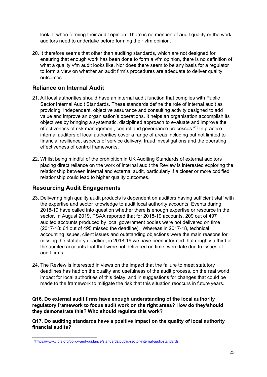look at when forming their audit opinion. There is no mention of audit quality or the work auditors need to undertake before forming their vfm opinion.

20. It therefore seems that other than auditing standards, which are not designed for ensuring that enough work has been done to form a vfm opinion, there is no definition of what a quality vfm audit looks like. Nor does there seem to be any basis for a regulator to form a view on whether an audit firm's procedures are adequate to deliver quality outcomes.

#### **Reliance on Internal Audit**

- 21. All local authorities should have an internal audit function that complies with Public Sector Internal Audit Standards. These standards define the role of internal audit as providing "independent, objective assurance and consulting activity designed to add value and improve an organisation's operations. It helps an organisation accomplish its objectives by bringing a systematic, disciplined approach to evaluate and improve the effectiveness of risk management, control and governance processes."[13](#page-25-0) In practice internal auditors of local authorities cover a range of areas including but not limited to financial resilience, aspects of service delivery, fraud investigations and the operating effectiveness of control frameworks.
- 22. Whilst being mindful of the prohibition in UK Auditing Standards of external auditors placing direct reliance on the work of internal audit the Review is interested exploring the relationship between internal and external audit, particularly if a closer or more codified relationship could lead to higher quality outcomes.

#### **Resourcing Audit Engagements**

- 23. Delivering high quality audit products is dependent on auditors having sufficient staff with the expertise and sector knowledge to audit local authority accounts. Events during 2018-19 have called into question whether there is enough expertise or resource in the sector. In August 2019, PSAA reported that for 2018-19 accounts, 209 out of 497 audited accounts produced by local government bodies were not delivered on time (2017-18: 64 out of 495 missed the deadline). Whereas in 2017-18, technical accounting issues, client issues and outstanding objections were the main reasons for missing the statutory deadline, in 2018-19 we have been informed that roughly a third of the audited accounts that that were not delivered on time, were late due to issues at audit firms.
- 24. The Review is interested in views on the impact that the failure to meet statutory deadlines has had on the quality and usefulness of the audit process, on the real world impact for local authorities of this delay, and in suggestions for changes that could be made to the framework to mitigate the risk that this situation reoccurs in future years.

#### **Q16. Do external audit firms have enough understanding of the local authority regulatory framework to focus audit work on the right areas? How do they/should they demonstrate this? Who should regulate this work?**

**Q17. Do auditing standards have a positive impact on the quality of local authority financial audits?**

<span id="page-25-0"></span><sup>13</sup> <https://www.cipfa.org/policy-and-guidance/standards/public-sector-internal-audit-standards>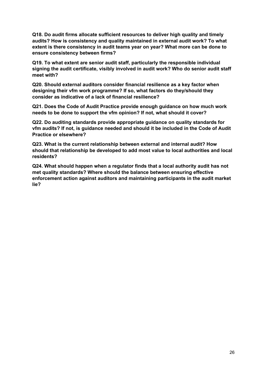**Q18. Do audit firms allocate sufficient resources to deliver high quality and timely audits? How is consistency and quality maintained in external audit work? To what extent is there consistency in audit teams year on year? What more can be done to ensure consistency between firms?**

**Q19. To what extent are senior audit staff, particularly the responsible individual signing the audit certificate, visibly involved in audit work? Who do senior audit staff meet with?**

**Q20. Should external auditors consider financial resilience as a key factor when designing their vfm work programme? If so, what factors do they/should they consider as indicative of a lack of financial resilience?**

**Q21. Does the Code of Audit Practice provide enough guidance on how much work needs to be done to support the vfm opinion? If not, what should it cover?**

**Q22. Do auditing standards provide appropriate guidance on quality standards for vfm audits? If not, is guidance needed and should it be included in the Code of Audit Practice or elsewhere?**

**Q23. What is the current relationship between external and internal audit? How should that relationship be developed to add most value to local authorities and local residents?**

**Q24. What should happen when a regulator finds that a local authority audit has not met quality standards? Where should the balance between ensuring effective enforcement action against auditors and maintaining participants in the audit market lie?**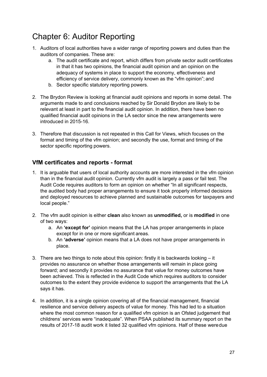# <span id="page-27-0"></span>Chapter 6: Auditor Reporting

- 1. Auditors of local authorities have a wider range of reporting powers and duties than the auditors of companies. These are:
	- a. The audit certificate and report, which differs from private sector audit certificates in that it has two opinions, the financial audit opinion and an opinion on the adequacy of systems in place to support the economy, effectiveness and efficiency of service delivery, commonly known as the "vfm opinion"; and
	- b. Sector specific statutory reporting powers.
- 2. The Brydon Review is looking at financial audit opinions and reports in some detail. The arguments made to and conclusions reached by Sir Donald Brydon are likely to be relevant at least in part to the financial audit opinion. In addition, there have been no qualified financial audit opinions in the LA sector since the new arrangements were introduced in 2015-16.
- 3. Therefore that discussion is not repeated in this Call for Views, which focuses on the format and timing of the vfm opinion; and secondly the use, format and timing of the sector specific reporting powers.

#### **VfM certificates and reports - format**

- 1. It is arguable that users of local authority accounts are more interested in the vfm opinion than in the financial audit opinion. Currently vfm audit is largely a pass or fail test. The Audit Code requires auditors to form an opinion on whether "In all significant respects, the audited body had proper arrangements to ensure it took properly informed decisions and deployed resources to achieve planned and sustainable outcomes for taxpayers and local people."
- 2. The vfm audit opinion is either **clean** also known as **unmodified,** or is **modified** in one of two ways:
	- a. An **'except for'** opinion means that the LA has proper arrangements in place except for in one or more significant areas.
	- b. An **'adverse'** opinion means that a LA does not have proper arrangements in place.
- 3. There are two things to note about this opinion: firstly it is backwards looking it provides no assurance on whether those arrangements will remain in place going forward; and secondly it provides no assurance that value for money outcomes have been achieved. This is reflected in the Audit Code which requires auditors to consider outcomes to the extent they provide evidence to support the arrangements that the LA says it has.
- 4. In addition, it is a single opinion covering all of the financial management, financial resilience and service delivery aspects of value for money. This had led to a situation where the most common reason for a qualified vfm opinion is an Ofsted judgement that childrens' services were "inadequate". When PSAA published its summary report on the results of 2017-18 audit work it listed 32 qualified vfm opinions. Half of these weredue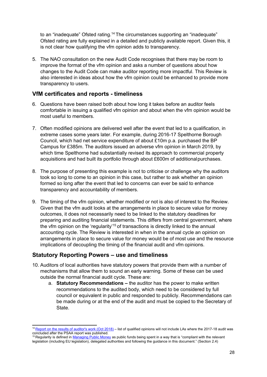to an "inadequate" Ofsted rating.<sup>[14](#page-28-0)</sup> The circumstances supporting an "inadequate" Ofsted rating are fully explained in a detailed and publicly available report. Given this, it is not clear how qualifying the vfm opinion adds to transparency.

5. The NAO consultation on the new Audit Code recognises that there may be room to improve the format of the vfm opinion and asks a number of questions about how changes to the Audit Code can make auditor reporting more impactful. This Review is also interested in ideas about how the vfm opinion could be enhanced to provide more transparency to users.

#### **VfM certificates and reports - timeliness**

- 6. Questions have been raised both about how long it takes before an auditor feels comfortable in issuing a qualified vfm opinion and about when the vfm opinion would be most useful to members.
- 7. Often modified opinions are delivered well after the event that led to a qualification, in extreme cases some years later. For example, during 2016-17 Spelthorne Borough Council, which had net service expenditure of about £10m p.a. purchased the BP Campus for £385m. The auditors issued an adverse vfm opinion in March 2019, by which time Spelthorne had substantially revised its approach to commercial property acquisitions and had built its portfolio through about £600m of additionalpurchases.
- 8. The purpose of presenting this example is not to criticise or challenge why the auditors took so long to come to an opinion in this case, but rather to ask whether an opinion formed so long after the event that led to concerns can ever be said to enhance transparency and accountability of members.
- 9. The timing of the vfm opinion, whether modified or not is also of interest to the Review. Given that the vfm audit looks at the arrangements in place to secure value for money outcomes, it does not necessarily need to be linked to the statutory deadlines for preparing and auditing financial statements. This differs from central government, where the vfm opinion on the 'regularity'<sup>[15](#page-28-1)</sup> of transactions is directly linked to the annual accounting cycle. The Review is interested in when in the annual cycle an opinion on arrangements in place to secure value for money would be of most use and the resource implications of decoupling the timing of the financial audit and vfm opinions.

#### **Statutory Reporting Powers – use and timeliness**

- 10. Auditors of local authorities have statutory powers that provide them with a number of mechanisms that allow them to sound an early warning. Some of these can be used outside the normal financial audit cycle. These are:
	- a. **Statutory Recommendations –** the auditor has the power to make written recommendations to the audited body, which need to be considered by full council or equivalent in public and responded to publicly. Recommendations can be made during or at the end of the audit and must be copied to the Secretary of State.

<span id="page-28-0"></span><sup>&</sup>lt;sup>14</sup> Report on the results of [auditor's](https://www.psaa.co.uk/wp-content/uploads/2018/10/Report-on-the-results-of-auditors-work-LG-2017-18-final.pdf) work (Oct 2018) – list of qualified opinions will not include LAs where the 2017-18 audit was concluded after the PSAA report was published.

<span id="page-28-1"></span><sup>&</sup>lt;sup>15</sup> Regularity is defined in [Managing](https://assets.publishing.service.gov.uk/government/uploads/system/uploads/attachment_data/file/742188/Managing_Public_Money__MPM__2018.pdf) Public Money as public funds being spent in a way that is "compliant with the relevant legislation (including EU legislation), delegated authorities and following the guidance in this document." (Section 2.4)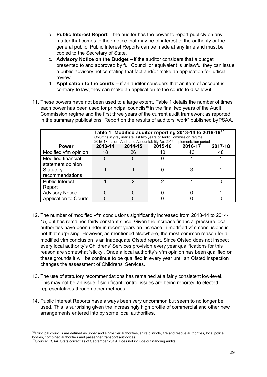- b. **Public Interest Report** the auditor has the power to report publicly on any matter that comes to their notice that may be of interest to the authority or the general public. Public Interest Reports can be made at any time and must be copied to the Secretary of State.
- c. **Advisory Notice on the Budget –** if the auditor considers that a budget presented to and approved by full Council or equivalent is unlawful they can issue a public advisory notice stating that fact and/or make an application for judicial review.
- d. **Application to the courts –** if an auditor considers that an item of account is contrary to law, they can make an application to the courts to disallow it.
- 11. These powers have not been used to a large extent. Table 1 details the number of times each power has been used for principal councils<sup>[16](#page-29-0)</sup> in the final two years of the Audit Commission regime and the first three years of the current audit framework as reported in the summary publications "Report on the results of auditors' work" published byPSAA.

|                              | Table 1: Modified auditor reporting 2013-14 to 2018-19 <sup>17</sup><br>Columns in grey indicate last two years of Audit Commission regime<br>2015-18 - Local Audit and Accountability Act 2014 implementation period |         |         |         |         |
|------------------------------|-----------------------------------------------------------------------------------------------------------------------------------------------------------------------------------------------------------------------|---------|---------|---------|---------|
| <b>Power</b>                 | 2013-14                                                                                                                                                                                                               | 2014-15 | 2015-16 | 2016-17 | 2017-18 |
| Modified vfm opinion         | 18                                                                                                                                                                                                                    | 26      | 40      | 43      | 48      |
| Modified financial           |                                                                                                                                                                                                                       |         |         |         |         |
| statement opinion            |                                                                                                                                                                                                                       |         |         |         |         |
| Statutory                    |                                                                                                                                                                                                                       |         |         | 3       |         |
| recommendations              |                                                                                                                                                                                                                       |         |         |         |         |
| <b>Public Interest</b>       |                                                                                                                                                                                                                       | າ       | າ       |         |         |
| Report                       |                                                                                                                                                                                                                       |         |         |         |         |
| <b>Advisory Notice</b>       |                                                                                                                                                                                                                       |         |         |         |         |
| <b>Application to Courts</b> |                                                                                                                                                                                                                       |         |         |         |         |

- 12. The number of modified vfm conclusions significantly increased from 2013-14 to 2014- 15, but has remained fairly constant since. Given the increase financial pressure local authorities have been under in recent years an increase in modified vfm conclusions is not that surprising. However, as mentioned elsewhere, the most common reason for a modified vfm conclusion is an inadequate Ofsted report. Since Ofsted does not inspect every local authority's Childrens' Services provision every year qualifications for this reason are somewhat 'sticky'. Once a local authority's vfm opinion has been qualified on these grounds it will be continue to be qualified in every year until an Ofsted inspection changes the assessment of Childrens' Services.
- 13. The use of statutory recommendations has remained at a fairly consistent low-level. This may not be an issue if significant control issues are being reported to elected representatives through other methods.
- 14. Public Interest Reports have always been very uncommon but seem to no longer be used. This is surprising given the increasingly high profile of commercial and other new arrangements entered into by some local authorities.

<span id="page-29-0"></span><sup>&</sup>lt;sup>16</sup> Principal councils are defined as upper and single tier authorities, shire districts, fire and rescue authorities, local police bodies, combined authorities and passenger transport authorities.

<span id="page-29-1"></span><sup>17</sup> Source: PSAA. Stats correct as of September 2019. Does not include outstanding audits.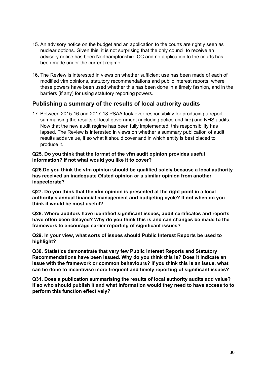- 15. An advisory notice on the budget and an application to the courts are rightly seen as nuclear options. Given this, it is not surprising that the only council to receive an advisory notice has been Northamptonshire CC and no application to the courts has been made under the current regime.
- 16. The Review is interested in views on whether sufficient use has been made of each of modified vfm opinions, statutory recommendations and public interest reports, where these powers have been used whether this has been done in a timely fashion, and in the barriers (if any) for using statutory reporting powers.

#### **Publishing a summary of the results of local authority audits**

17. Between 2015-16 and 2017-18 PSAA took over responsibility for producing a report summarising the results of local government (including police and fire) and NHS audits. Now that the new audit regime has been fully implemented, this responsibility has lapsed. The Review is interested in views on whether a summary publication of audit results adds value, if so what it should cover and in which entity is best placed to produce it.

**Q25. Do you think that the format of the vfm audit opinion provides useful information? If not what would you like it to cover?**

**Q26.Do you think the vfm opinion should be qualified solely because a local authority has received an inadequate Ofsted opinion or a similar opinion from another inspectorate?**

**Q27. Do you think that the vfm opinion is presented at the right point in a local authority's annual financial management and budgeting cycle? If not when do you think it would be most useful?**

**Q28. Where auditors have identified significant issues, audit certificates and reports have often been delayed? Why do you think this is and can changes be made to the framework to encourage earlier reporting of significant issues?**

**Q29. In your view, what sorts of issues should Public Interest Reports be used to highlight?**

**Q30. Statistics demonstrate that very few Public Interest Reports and Statutory Recommendations have been issued. Why do you think this is? Does it indicate an issue with the framework or common behaviours? If you think this is an issue, what can be done to incentivise more frequent and timely reporting of significant issues?**

**Q31. Does a publication summarising the results of local authority audits add value? If so who should publish it and what information would they need to have access to to perform this function effectively?**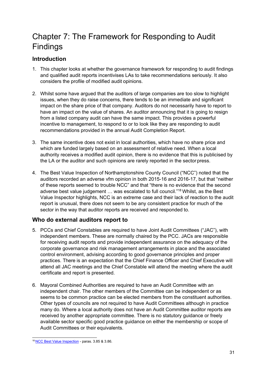# <span id="page-31-0"></span>Chapter 7: The Framework for Responding to Audit Findings

## **Introduction**

- 1. This chapter looks at whether the governance framework for responding to audit findings and qualified audit reports incentivises LAs to take recommendations seriously. It also considers the profile of modified audit opinions.
- 2. Whilst some have argued that the auditors of large companies are too slow to highlight issues, when they do raise concerns, there tends to be an immediate and significant impact on the share price of that company. Auditors do not necessarily have to report to have an impact on the value of shares. An auditor announcing that it is going to resign from a listed company audit can have the same impact. This provides a powerful incentive to management, to respond to or to look like they are responding to audit recommendations provided in the annual Audit Completion Report.
- 3. The same incentive does not exist in local authorities, which have no share price and which are funded largely based on an assessment of relative need. When a local authority receives a modified audit opinion, there is no evidence that this is publicised by the LA or the auditor and such opinions are rarely reported in the sector press.
- 4. The Best Value Inspection of Northamptonshire County Council ("NCC") noted that the auditors recorded an adverse vfm opinion in both 2015-16 and 2016-17, but that "neither of these reports seemed to trouble NCC" and that "there is no evidence that the second adverse best value judgement … was escalated to full council."[18](#page-31-1) Whilst, as the Best Value Inspector highlights, NCC is an extreme case and their lack of reaction to the audit report is unusual, there does not seem to be any consistent practice for much of the sector in the way that auditor reports are received and responded to.

### **Who do external auditors report to**

- 5. PCCs and Chief Constables are required to have Joint Audit Committees ("JAC"), with independent members. These are normally chaired by the PCC. JACs are responsible for receiving audit reports and provide independent assurance on the adequacy of the corporate governance and risk management arrangements in place and the associated control environment, advising according to good governance principles and proper practices. There is an expectation that the Chief Finance Officer and Chief Executive will attend all JAC meetings and the Chief Constable will attend the meeting where the audit certificate and report is presented.
- 6. Mayoral Combined Authorities are required to have an Audit Committee with an independent chair. The other members of the Committee can be independent or as seems to be common practice can be elected members from the constituent authorities. Other types of councils are not required to have Audit Committees although in practice many do. Where a local authority does not have an Audit Committee auditor reports are received by another appropriate committee. There is no statutory guidance or freely available sector specific good practice guidance on either the membership or scope of Audit Committees or their equivalents.

<span id="page-31-1"></span><sup>18</sup> NCC Best Value [Inspection](https://assets.publishing.service.gov.uk/government/uploads/system/uploads/attachment_data/file/690731/Best_Value_Inspection_NCC.pdf) - paras. 3.85 & 3.86.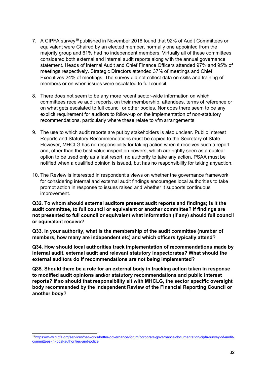- 7. A CIPFA survey<sup>[19](#page-32-0)</sup> published in November 2016 found that 92% of Audit Committees or equivalent were Chaired by an elected member, normally one appointed from the majority group and 61% had no independent members. Virtually all of these committees considered both external and internal audit reports along with the annual governance statement. Heads of Internal Audit and Chief Finance Officers attended 97% and 95% of meetings respectively. Strategic Directors attended 37% of meetings and Chief Executives 24% of meetings. The survey did not collect data on skills and training of members or on when issues were escalated to full council.
- 8. There does not seem to be any more recent sector-wide information on which committees receive audit reports, on their membership, attendees, terms of reference or on what gets escalated to full council or other bodies. Nor does there seem to be any explicit requirement for auditors to follow-up on the implementation of non-statutory recommendations, particularly where these relate to vfm arrangements.
- 9. The use to which audit reports are put by stakeholders is also unclear. Public Interest Reports and Statutory Recommendations must be copied to the Secretary of State. However, MHCLG has no responsibility for taking action when it receives such a report and, other than the best value inspection powers, which are rightly seen as a nuclear option to be used only as a last resort, no authority to take any action. PSAA must be notified when a qualified opinion is issued, but has no responsibility for taking anyaction.
- 10. The Review is interested in respondent's views on whether the governance framework for considering internal and external audit findings encourages local authorities to take prompt action in response to issues raised and whether it supports continuous improvement.

**Q32. To whom should external auditors present audit reports and findings; is it the audit committee, to full council or equivalent or another committee? If findings are not presented to full council or equivalent what information (if any) should full council or equivalent receive?**

**Q33. In your authority, what is the membership of the audit committee (number of members, how many are independent etc) and which officers typically attend?**

**Q34. How should local authorities track implementation of recommendations made by internal audit, external audit and relevant statutory inspectorates? What should the external auditors do if recommendations are not being implemented?**

**Q35. Should there be a role for an external body in tracking action taken in response to modified audit opinions and/or statutory recommendations and public interest reports? If so should that responsibility sit with MHCLG, the sector specific oversight body recommended by the Independent Review of the Financial Reporting Council or another body?**

<span id="page-32-0"></span><sup>19</sup> [https://www.cipfa.org/services/networks/better-governance-forum/corporate-governance-documentation/cipfa-survey-of-audit](https://www.cipfa.org/services/networks/better-governance-forum/corporate-governance-documentation/cipfa-survey-of-audit-committees-in-local-authorities-and-police)[committees-in-local-authorities-and-police](https://www.cipfa.org/services/networks/better-governance-forum/corporate-governance-documentation/cipfa-survey-of-audit-committees-in-local-authorities-and-police)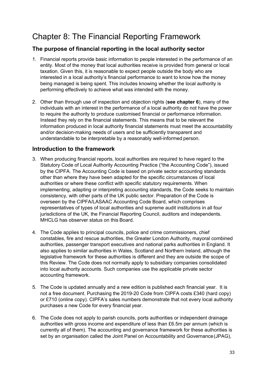## <span id="page-33-0"></span>Chapter 8: The Financial Reporting Framework

### **The purpose of financial reporting in the local authority sector**

- 1. Financial reports provide basic information to people interested in the performance of an entity. Most of the money that local authorities receive is provided from general or local taxation. Given this, it is reasonable to expect people outside the body who are interested in a local authority's financial performance to want to know how the money being managed is being spent. This includes knowing whether the local authority is performing effectively to achieve what was intended with the money.
- 2. Other than through use of inspection and objection rights (**see chapter 6**), many of the individuals with an interest in the performance of a local authority do not have the power to require the authority to produce customised financial or performance information. Instead they rely on the financial statements. This means that to be relevant the information produced in local authority financial statements must meet the accountability and/or decision-making needs of users and be sufficiently transparent and understandable to be interpretable by a reasonably well-informed person.

### **Introduction to the framework**

- 3. When producing financial reports, local authorities are required to have regard to the Statutory Code of Local Authority Accounting Practice ("the Accounting Code"), issued by the CIPFA. The Accounting Code is based on private sector accounting standards other than where they have been adapted for the specific circumstances of local authorities or where these conflict with specific statutory requirements. When implementing, adapting or interpreting accounting standards, the Code seeks to maintain consistency, with other parts of the UK public sector. Preparation of the Code is overseen by the CIPFA/LASAAC Accounting Code Board, which comprises representatives of types of local authorities and supreme audit institutions in all four jurisdictions of the UK, the Financial Reporting Council, auditors and independents. MHCLG has observer status on this Board.
- 4. The Code applies to principal councils, police and crime commissioners, chief constables, fire and rescue authorities, the Greater London Authority, mayoral combined authorities, passenger transport executives and national parks authorities in England. It also applies to similar authorities in Wales, Scotland and Northern Ireland, although the legislative framework for these authorities is different and they are outside the scope of this Review. The Code does not normally apply to subsidiary companies consolidated into local authority accounts. Such companies use the applicable private sector accounting framework.
- 5. The Code is updated annually and a new edition is published each financial year. It is not a free document. Purchasing the 2019-20 Code from CIPFA costs £340 (hard copy) or £710 (online copy). CIPFA's sales numbers demonstrate that not every local authority purchases a new Code for every financial year.
- 6. The Code does not apply to parish councils, ports authorities or independent drainage authorities with gross income and expenditure of less than £6.5m per annum (which is currently all of them). The accounting and governance framework for these authorities is set by an organisation called the Joint Panel on Accountability and Governance(JPAG),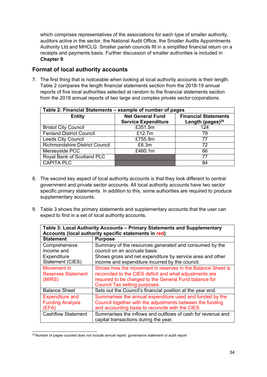which comprises representatives of the associations for each type of smaller authority, auditors active in the sector, the National Audit Office, the Smaller Audits Appointments Authority Ltd and MHCLG. Smaller parish councils fill in a simplified financial return on a receipts and payments basis. Further discussion of smaller authorities is included in **Chapter 9**.

#### **Format of local authority accounts**

7. The first thing that is noticeable when looking at local authority accounts is their length. Table 2 compares the length financial statements section from the 2018-19 annual reports of five local authorities selected at random to the financial statements section from the 2018 annual reports of two large and complex private sector corporations.

| Table 2: Financial Statements – example of number of pages |                                                        |                              |  |  |
|------------------------------------------------------------|--------------------------------------------------------|------------------------------|--|--|
| <b>Entity</b>                                              | <b>Net General Fund</b><br><b>Financial Statements</b> |                              |  |  |
|                                                            | <b>Service Expenditure</b>                             | Length (pages) <sup>20</sup> |  |  |
| <b>Bristol City Council</b>                                | £351.5m                                                | 124                          |  |  |
| <b>Fenland District Council</b>                            | £12.7m                                                 | 79                           |  |  |
| <b>Leeds City Council</b>                                  | £755.8m                                                | 77                           |  |  |
| Richmondshire District Council                             | £6.3m                                                  | 72                           |  |  |
| Merseyside PCC                                             | £460.1m                                                | 66                           |  |  |
| Royal Bank of Scotland PLC                                 |                                                        | 77                           |  |  |
| <b>CAPITA PLC</b>                                          |                                                        | 84                           |  |  |

- 8. The second key aspect of local authority accounts is that they look different to central government and private sector accounts. All local authority accounts have two sector specific primary statements. In addition to this, some authorities are required to produce supplementary accounts.
- 9. Table 3 shows the primary statements and supplementary accounts that the user can expect to find in a set of local authority accounts.

| Table 3: Local Authority Accounts – Primary Statements and Supplementary<br>Accounts (local authority specific statements in red) |                                                             |  |
|-----------------------------------------------------------------------------------------------------------------------------------|-------------------------------------------------------------|--|
| <b>Statement</b>                                                                                                                  | <b>Purpose</b>                                              |  |
| Comprehensive                                                                                                                     | Summary of the resources generated and consumed by the      |  |
| Income and                                                                                                                        | council on an accruals basis.                               |  |
| Expenditure                                                                                                                       | Shows gross and net expenditure by service area and other   |  |
| Statement (CIES)                                                                                                                  | income and expenditure incurred by the council.             |  |
| Movement in                                                                                                                       | Shows how the movement in reserves in the Balance Sheet is  |  |
| <b>Reserves Statement</b>                                                                                                         | reconciled to the CIES deficit and what adjustments are     |  |
| (MIRS)                                                                                                                            | required to be charged to the General Fund balance for      |  |
|                                                                                                                                   | Council Tax setting purposes.                               |  |
| <b>Balance Sheet</b>                                                                                                              | Sets out the Council's financial position at the year end.  |  |
| <b>Expenditure and</b>                                                                                                            | Summarises the annual expenditure used and funded by the    |  |
| <b>Funding Analysis</b>                                                                                                           | Council together with the adjustments between the funding   |  |
| (EFA)                                                                                                                             | and accounting basis to reconcile with the CIES.            |  |
| <b>Cashflow Statement</b>                                                                                                         | Summarises the inflows and outflows of cash for revenue and |  |
|                                                                                                                                   | capital transactions during the year.                       |  |

<span id="page-34-0"></span><sup>&</sup>lt;sup>20</sup> Number of pages counted does not include annual report, governance statement or audit report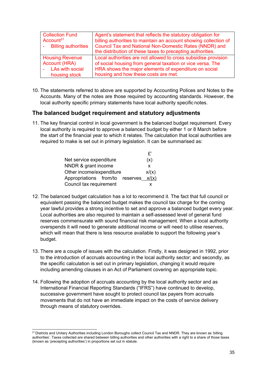| <b>Collection Fund</b> | Agent's statement that reflects the statutory obligation for     |
|------------------------|------------------------------------------------------------------|
| Account <sup>21</sup>  | billing authorities to maintain an account showing collection of |
| - Billing authorities  | Council Tax and National Non-Domestic Rates (NNDR) and           |
|                        | the distribution of these taxes to precepting authorities.       |
| <b>Housing Revenue</b> | Local authorities are not allowed to cross subsidise provision   |
| Account (HRA)          | of social housing from general taxation or vice versa. The       |
| - LAs with social      | HRA shows the major elements of expenditure on social            |
| housing stock          | housing and how these costs are met.                             |

10. The statements referred to above are supported by Accounting Polices and Notes to the Accounts. Many of the notes are those required by accounting standards. However, the local authority specific primary statements have local authority specific notes.

#### **The balanced budget requirement and statutory adjustments**

11. The key financial control in local government is the balanced budget requirement. Every local authority is required to approve a balanced budget by either 1 or 8 March before the start of the financial year to which it relates. The calculation that local authorities are required to make is set out in primary legislation. It can be summarised as:

|                                 | £,    |
|---------------------------------|-------|
| Net service expenditure         | (x)   |
| NNDR & grant income             | x     |
| Other income/expenditure        | x/(x) |
| Appropriations from/to reserves | x/(x) |
| Council tax requirement         |       |

- 12. The balanced budget calculation has a lot to recommend it. The fact that full council or equivalent passing the balanced budget makes the council tax charge for the coming year lawful provides a strong incentive to set and approve a balanced budget every year. Local authorities are also required to maintain a self-assessed level of general fund reserves commensurate with sound financial risk management. When a local authority overspends it will need to generate additional income or will need to utilise reserves, which will mean that there is less resource available to support the following year's budget.
- 13. There are a couple of issues with the calculation. Firstly, it was designed in 1992, prior to the introduction of accruals accounting in the local authority sector; and secondly, as the specific calculation is set out in primary legislation, changing it would require including amending clauses in an Act of Parliament covering an appropriate topic.
- 14. Following the adoption of accruals accounting by the local authority sector and as International Financial Reporting Standards ("IFRS") have continued to develop, successive government have sought to protect council tax payers from accruals movements that do not have an immediate impact on the costs of service delivery through means of statutory overrides.

<span id="page-35-0"></span><sup>&</sup>lt;sup>21</sup> Districts and Unitary Authorities including London Boroughs collect Council Tax and NNDR. They are known as 'billing authorities'. Taxes collected are shared between billing authorities and other authorities with a right to a share of those taxes (known as 'precepting authorities') in proportions set out in statute.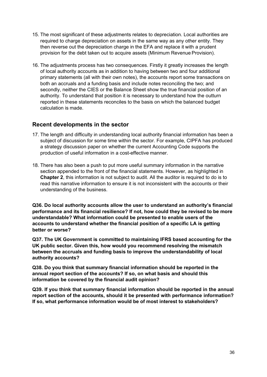- 15. The most significant of these adjustments relates to depreciation. Local authorities are required to charge depreciation on assets in the same way as any other entity. They then reverse out the depreciation charge in the EFA and replace it with a prudent provision for the debt taken out to acquire assets (Minimum Revenue Provision).
- 16. The adjustments process has two consequences. Firstly it greatly increases the length of local authority accounts as in addition to having between two and four additional primary statements (all with their own notes), the accounts report some transactions on both an accruals and a funding basis and include notes reconciling the two; and secondly, neither the CIES or the Balance Sheet show the true financial position of an authority. To understand that position it is necessary to understand how the outturn reported in these statements reconciles to the basis on which the balanced budget calculation is made.

#### **Recent developments in the sector**

- 17. The length and difficulty in understanding local authority financial information has been a subject of discussion for some time within the sector. For example, CIPFA has produced a strategy discussion paper on whether the current Accounting Code supports the production of useful information in a cost-effective manner.
- 18. There has also been a push to put more useful summary information in the narrative section appended to the front of the financial statements. However, as highlighted in **Chapter 2**, this information is not subject to audit. All the auditor is required to do is to read this narrative information to ensure it is not inconsistent with the accounts or their understanding of the business.

**Q36. Do local authority accounts allow the user to understand an authority's financial performance and its financial resilience? If not, how could they be revised to be more understandable? What information could be presented to enable users of the accounts to understand whether the financial position of a specific LA is getting better or worse?**

**Q37. The UK Government is committed to maintaining IFRS based accounting for the UK public sector. Given this, how would you recommend resolving the mismatch between the accruals and funding basis to improve the understandability of local authority accounts?**

**Q38. Do you think that summary financial information should be reported in the annual report section of the accounts? If so, on what basis and should this information be covered by the financial audit opinion?**

**Q39. If you think that summary financial information should be reported in the annual report section of the accounts, should it be presented with performance information? If so, what performance information would be of most interest to stakeholders?**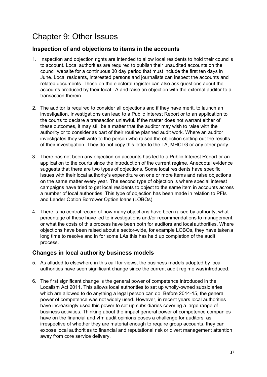## <span id="page-37-0"></span>Chapter 9: Other Issues

### **Inspection of and objections to items in the accounts**

- 1. Inspection and objection rights are intended to allow local residents to hold their councils to account. Local authorities are required to publish their unaudited accounts on the council website for a continuous 30 day period that must include the first ten days in June. Local residents, interested persons and journalists can inspect the accounts and related documents. Those on the electoral register can also ask questions about the accounts produced by their local LA and raise an objection with the external auditor to a transaction therein.
- 2. The auditor is required to consider all objections and if they have merit, to launch an investigation. Investigations can lead to a Public Interest Report or to an application to the courts to declare a transaction unlawful. If the matter does not warrant either of these outcomes, it may still be a matter that the auditor may wish to raise with the authority or to consider as part of their routine planned audit work. Where an auditor investigates they will write to the person who raised the objection setting out the results of their investigation. They do not copy this letter to the LA, MHCLG or any other party.
- 3. There has not been any objection on accounts has led to a Public Interest Report or an application to the courts since the introduction of the current regime. Anecdotal evidence suggests that there are two types of objections. Some local residents have specific issues with their local authority's expenditure on one or more items and raise objections on the same matter every year. The second type of objection is where special interest campaigns have tried to get local residents to object to the same item in accounts across a number of local authorities. This type of objection has been made in relation to PFIs and Lender Option Borrower Option loans (LOBOs).
- 4. There is no central record of how many objections have been raised by authority, what percentage of these have led to investigations and/or recommendations to management, or what the costs of this process have been both for auditors and localauthorities. Where objections have been raised about a sector-wide, for example LOBOs, they have takena long time to resolve and in for some LAs this has held up completion of the audit process.

### **Changes in local authority business models**

- 5. As alluded to elsewhere in this call for views, the business models adopted by local authorities have seen significant change since the current audit regime wasintroduced.
- 6. The first significant change is the general power of competence introduced in the Localism Act 2011. This allows local authorities to set up wholly-owned subsidiaries, which are allowed to do anything a legal person can do. Before 2014-15, the general power of competence was not widely used. However, in recent years local authorities have increasingly used this power to set up subsidiaries covering a large range of business activities. Thinking about the impact general power of competence companies have on the financial and vfm audit opinions poses a challenge for auditors, as irrespective of whether they are material enough to require group accounts, they can expose local authorities to financial and reputational risk or divert management attention away from core service delivery.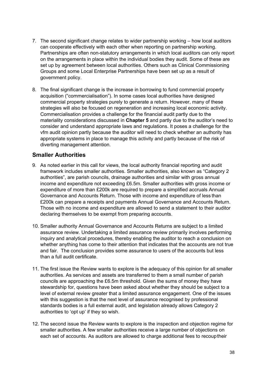- 7. The second significant change relates to wider partnership working how local auditors can cooperate effectively with each other when reporting on partnership working. Partnerships are often non-statutory arrangements in which local auditors can only report on the arrangements in place within the individual bodies they audit. Some of these are set up by agreement between local authorities. Others such as Clinical Commissioning Groups and some Local Enterprise Partnerships have been set up as a result of government policy.
- 8. The final significant change is the increase in borrowing to fund commercial property acquisition ("commercialisation"). In some cases local authorities have designed commercial property strategies purely to generate a return. However, many of these strategies will also be focused on regeneration and increasing local economic activity. Commercialisation provides a challenge for the financial audit partly due to the materiality considerations discussed in **Chapter 5** and partly due to the auditor's need to consider and understand appropriate laws and regulations. It poses a challenge for the vfm audit opinion partly because the auditor will need to check whether an authority has appropriate systems in place to manage this activity and partly because of the risk of diverting management attention.

#### **Smaller Authorities**

- 9. As noted earlier in this call for views, the local authority financial reporting and audit framework includes smaller authorities. Smaller authorities, also known as "Category 2 authorities", are parish councils, drainage authorities and similar with gross annual income and expenditure not exceeding £6.5m. Smaller authorities with gross income or expenditure of more than £200k are required to prepare a simplified accruals Annual Governance and Accounts Return. Those with income and expenditure of less than £200k can prepare a receipts and payments Annual Governance and Accounts Return. Those with no income and expenditure are allowed to send a statement to their auditor declaring themselves to be exempt from preparing accounts.
- 10. Smaller authority Annual Governance and Accounts Returns are subject to a limited assurance review. Undertaking a limited assurance review primarily involves performing inquiry and analytical procedures, thereby enabling the auditor to reach a conclusion on whether anything has come to their attention that indicates that the accounts are not true and fair. The conclusion provides some assurance to users of the accounts but less than a full audit certificate.
- 11. The first issue the Review wants to explore is the adequacy of this opinion for all smaller authorities. As services and assets are transferred to them a small number of parish councils are approaching the £6.5m threshold. Given the sums of money they have stewardship for, questions have been asked about whether they should be subject to a level of external review greater that a limited assurance engagement. One of the issues with this suggestion is that the next level of assurance recognised by professional standards bodies is a full external audit, and legislation already allows Category 2 authorities to 'opt up' if they so wish.
- 12. The second issue the Review wants to explore is the inspection and objection regime for smaller authorities. A few smaller authorities receive a large number of objections on each set of accounts. As auditors are allowed to charge additional fees to recouptheir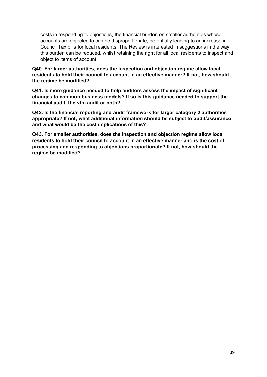costs in responding to objections, the financial burden on smaller authorities whose accounts are objected to can be disproportionate, potentially leading to an increase in Council Tax bills for local residents. The Review is interested in suggestions in the way this burden can be reduced, whilst retaining the right for all local residents to inspect and object to items of account.

**Q40. For larger authorities, does the inspection and objection regime allow local residents to hold their council to account in an effective manner? If not, how should the regime be modified?**

**Q41. Is more guidance needed to help auditors assess the impact of significant changes to common business models? If so is this guidance needed to support the financial audit, the vfm audit or both?**

**Q42. Is the financial reporting and audit framework for larger category 2 authorities appropriate? If not, what additional information should be subject to audit/assurance and what would be the cost implications of this?**

**Q43. For smaller authorities, does the inspection and objection regime allow local residents to hold their council to account in an effective manner and is the cost of processing and responding to objections proportionate? If not, how should the regime be modified?**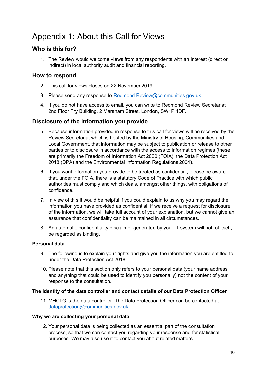## <span id="page-40-0"></span>Appendix 1: About this Call for Views

### **Who is this for?**

1. The Review would welcome views from any respondents with an interest (direct or indirect) in local authority audit and financial reporting.

#### **How to respond**

- 2. This call for views closes on 22 November 2019.
- 3. Please send any response to [Redmond.Review@communities.gov.uk](mailto:Redmond.Review@communities.gov.uk)
- 4. If you do not have access to email, you can write to Redmond Review Secretariat 2nd Floor Fry Building, 2 Marsham Street, London, SW1P 4DF.

### **Disclosure of the information you provide**

- 5. Because information provided in response to this call for views will be received by the Review Secretariat which is hosted by the Ministry of Housing, Communities and Local Government, that information may be subject to publication or release to other parties or to disclosure in accordance with the access to information regimes (these are primarily the Freedom of Information Act 2000 (FOIA), the Data Protection Act 2018 (DPA) and the Environmental Information Regulations 2004).
- 6. If you want information you provide to be treated as confidential, please be aware that, under the FOIA, there is a statutory Code of Practice with which public authorities must comply and which deals, amongst other things, with obligations of confidence.
- 7. In view of this it would be helpful if you could explain to us why you may regard the information you have provided as confidential. If we receive a request for disclosure of the information, we will take full account of your explanation, but we cannot give an assurance that confidentiality can be maintained in all circumstances.
- 8. An automatic confidentiality disclaimer generated by your IT system will not, of itself, be regarded as binding.

#### **Personal data**

- 9. The following is to explain your rights and give you the information you are entitled to under the Data Protection Act 2018.
- 10. Please note that this section only refers to your personal data (your name address and anything that could be used to identify you personally) not the content of your response to the consultation.

#### **The identity of the data controller and contact details of our Data Protection Officer**

11. MHCLG is the data controller. The Data Protection Officer can be contacted at [dataprotection@communities.gov.uk](mailto:dataprotection@communities.gov.uk).

#### **Why we are collecting your personal data**

12. Your personal data is being collected as an essential part of the consultation process, so that we can contact you regarding your response and for statistical purposes. We may also use it to contact you about related matters.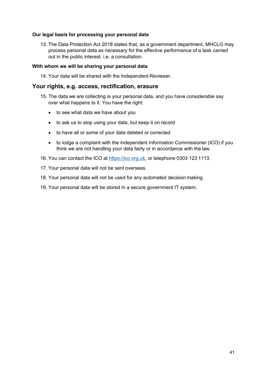#### **Our legal basis for processing your personal data**

13. The Data Protection Act 2018 states that, as a government department, MHCLG may process personal data as necessary for the effective performance of a task carried out in the public interest. i.e. a consultation.

#### **With whom we will be sharing your personal data**

14. Your data will be shared with the Independent Reviewer.

#### **Your rights, e.g. access, rectification, erasure**

- 15. The data we are collecting is your personal data, and you have considerable say over what happens to it. You have the right:
	- to see what data we have about you
	- to ask us to stop using your data, but keep it on record
	- to have all or some of your data deleted or corrected
	- to lodge a complaint with the independent Information Commissioner (ICO) if you think we are not handling your data fairly or in accordance with the law.
- 16. You can contact the ICO at [https://ico.org.uk,](https://ico.org.uk/) or telephone 0303 123 1113.
- 17. Your personal data will not be sent overseas.
- 18. Your personal data will not be used for any automated decision making.
- 19. Your personal data will be stored in a secure government IT system.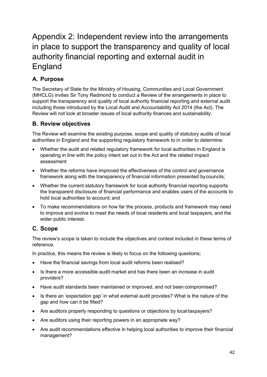# <span id="page-42-0"></span>Appendix 2: Independent review into the arrangements in place to support the transparency and quality of local authority financial reporting and external audit in England

## **A. Purpose**

The Secretary of State for the Ministry of Housing, Communities and Local Government (MHCLG) invites Sir Tony Redmond to conduct a Review of the arrangements in place to support the transparency and quality of local authority financial reporting and external audit including those introduced by the Local Audit and Accountability Act 2014 (the Act). The Review will not look at broader issues of local authority finances and sustainability.

## **B. Review objectives**

The Review will examine the existing purpose, scope and quality of statutory audits of local authorities in England and the supporting regulatory framework to in order to determine:

- Whether the audit and related regulatory framework for local authorities in England is operating in line with the policy intent set out in the Act and the related impact assessment
- Whether the reforms have improved the effectiveness of the control and governance framework along with the transparency of financial information presented bycouncils;
- Whether the current statutory framework for local authority financial reporting supports the transparent disclosure of financial performance and enables users of the accounts to hold local authorities to account; and
- To make recommendations on how far the process, products and framework may need to improve and evolve to meet the needs of local residents and local taxpayers, and the wider public interest.

## **C. Scope**

The review's scope is taken to include the objectives and context included in these terms of reference.

In practice, this means the review is likely to focus on the following questions;

- Have the financial savings from local audit reforms been realised?
- Is there a more accessible audit market and has there been an increase in audit providers?
- Have audit standards been maintained or improved, and not been compromised?
- Is there an 'expectation gap' in what external audit provides? What is the nature of the gap and how can it be filled?
- Are auditors properly responding to questions or objections by local taxpayers?
- Are auditors using their reporting powers in an appropriate way?
- Are audit recommendations effective in helping local authorities to improve their financial management?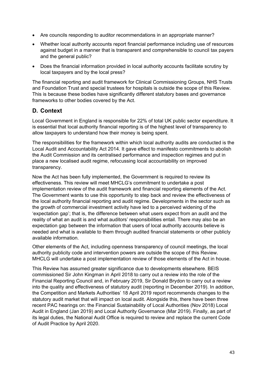- Are councils responding to auditor recommendations in an appropriate manner?
- Whether local authority accounts report financial performance including use of resources against budget in a manner that is transparent and comprehensible to council tax payers and the general public?
- Does the financial information provided in local authority accounts facilitate scrutiny by local taxpayers and by the local press?

The financial reporting and audit framework for Clinical Commissioning Groups, NHS Trusts and Foundation Trust and special trustees for hospitals is outside the scope of this Review. This is because these bodies have significantly different statutory bases and governance frameworks to other bodies covered by the Act.

#### **D. Context**

Local Government in England is responsible for 22% of total UK public sector expenditure. It is essential that local authority financial reporting is of the highest level of transparency to allow taxpayers to understand how their money is being spent.

The responsibilities for the framework within which local authority audits are conducted is the Local Audit and Accountability Act 2014. It gave effect to manifesto commitments to abolish the Audit Commission and its centralised performance and inspection regimes and put in place a new localised audit regime, refocussing local accountability on improved transparency.

Now the Act has been fully implemented, the Government is required to review its effectiveness. This review will meet MHCLG's commitment to undertake a post implementation review of the audit framework and financial reporting elements of the Act. The Government wants to use this opportunity to step back and review the effectiveness of the local authority financial reporting and audit regime. Developments in the sector such as the growth of commercial investment activity have led to a perceived widening of the 'expectation gap'; that is, the difference between what users expect from an audit and the reality of what an audit is and what auditors' responsibilities entail. There may also be an expectation gap between the information that users of local authority accounts believe is needed and what is available to them through audited financial statements or other publicly available information.

Other elements of the Act, including openness transparency of council meetings, the local authority publicity code and intervention powers are outside the scope of this Review. MHCLG will undertake a post implementation review of those elements of the Act in house.

This Review has assumed greater significance due to developments elsewhere. BEIS commissioned Sir John Kingman in April 2018 to carry out a review into the role of the Financial Reporting Council and, in February 2019, Sir Donald Brydon to carry out a review into the quality and effectiveness of statutory audit (reporting in December 2019). In addition, the Competition and Markets Authorities' 18 April 2019 report recommends changes to the statutory audit market that will impact on local audit. Alongside this, there have been three recent PAC hearings on: the Financial Sustainability of Local Authorities (Nov 2018) Local Audit in England (Jan 2019) and Local Authority Governance (Mar 2019). Finally, as part of its legal duties, the National Audit Office is required to review and replace the current Code of Audit Practice by April 2020.